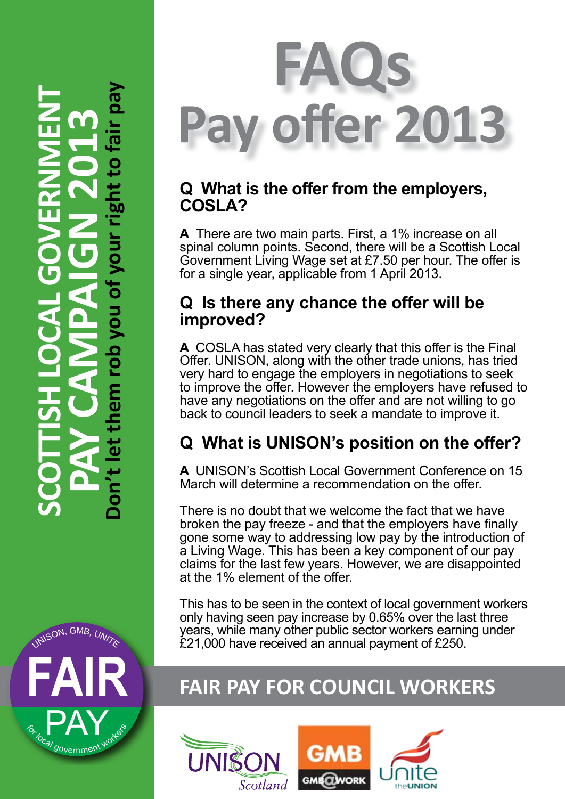# For Local GOVERNMENT SCOTTISH LOCAL GOVERNMENT<br>
PAY CAMPAIGN 2013<br>
Don't let them rob you of your right to fair pay rob nem





## **Q What is the offer from the employers, COSLA?**

**A** There are two main parts. First, a 1% increase on all spinal column points. Second, there will be a Scottish Local Government Living Wage set at £7.50 per hour. The offer is for a single year, applicable from 1 April 2013.

## **Q Is there any chance the offer will be improved?**

**A** COSLA has stated very clearly that this offer is the Final Offer. UNISON, along with the other trade unions, has tried very hard to engage the employers in negotiations to seek to improve the offer. However the employers have refused to have any negotiations on the offer and are not willing to go back to council leaders to seek a mandate to improve it.

# **Q What is UNISON's position on the offer?**

**A** UNISON's Scottish Local Government Conference on 15 March will determine a recommendation on the offer.

There is no doubt that we welcome the fact that we have broken the pay freeze - and that the employers have finally gone some way to addressing low pay by the introduction of a Living Wage. This has been a key component of our pay claims for the last few years. However, we are disappointed at the 1% element of the offer.

This has to be seen in the context of local government workers only having seen pay increase by 0.65% over the last three years, while many other public sector workers earning under £21,000 have received an annual payment of £250.

# **FAIR FAIR PAY FOR COUNCIL WORKERS**